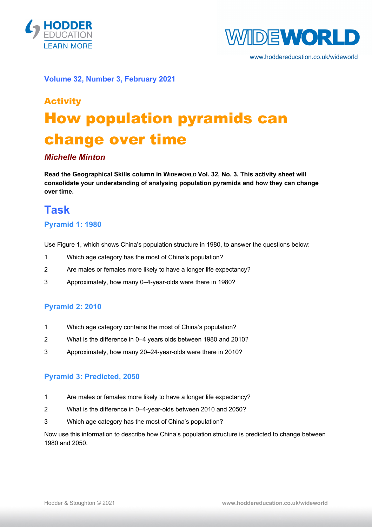



www.hoddereducation.co.uk/wideworld

#### **Volume 32, Number 3, February 2021**

# Activity How population pyramids can change over time

#### *Michelle Minton*

**Read the Geographical Skills column in WIDEWORLD Vol. 32, No. 3. This activity sheet will consolidate your understanding of analysing population pyramids and how they can change over time.**

### **Task**

#### **Pyramid 1: 1980**

Use Figure 1, which shows China's population structure in 1980, to answer the questions below:

- 1 Which age category has the most of China's population?
- 2 Are males or females more likely to have a longer life expectancy?
- 3 Approximately, how many 0–4-year-olds were there in 1980?

#### **Pyramid 2: 2010**

- 1 Which age category contains the most of China's population?
- 2 What is the difference in 0–4 years olds between 1980 and 2010?
- 3 Approximately, how many 20–24-year-olds were there in 2010?

#### **Pyramid 3: Predicted, 2050**

- 1 Are males or females more likely to have a longer life expectancy?
- 2 What is the difference in 0–4-year-olds between 2010 and 2050?
- 3 Which age category has the most of China's population?

Now use this information to describe how China's population structure is predicted to change between 1980 and 2050.